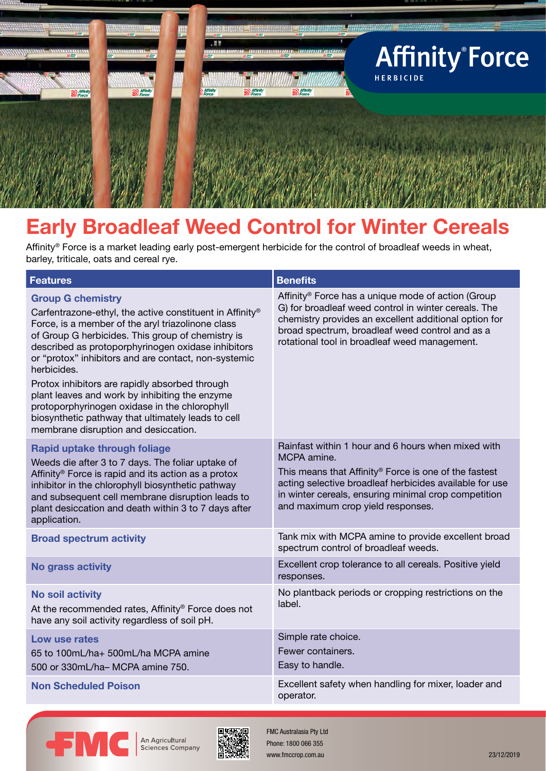

# **Early Broadleaf Weed Control for Winter Cereals**

Affinity® Force is a market leading early post-emergent herbicide for the control of broadleaf weeds in wheat, barley, triticale, oats and cereal rye.

| <b>Features</b>                                                                                                                                                                                                                                                                                                                                                                                                                                                                                                                                                                | <b>Benefits</b>                                                                                                                                                                                                                                                                     |
|--------------------------------------------------------------------------------------------------------------------------------------------------------------------------------------------------------------------------------------------------------------------------------------------------------------------------------------------------------------------------------------------------------------------------------------------------------------------------------------------------------------------------------------------------------------------------------|-------------------------------------------------------------------------------------------------------------------------------------------------------------------------------------------------------------------------------------------------------------------------------------|
| <b>Group G chemistry</b><br>Carfentrazone-ethyl, the active constituent in Affinity®<br>Force, is a member of the aryl triazolinone class<br>of Group G herbicides. This group of chemistry is<br>described as protoporphyrinogen oxidase inhibitors<br>or "protox" inhibitors and are contact, non-systemic<br>herbicides.<br>Protox inhibitors are rapidly absorbed through<br>plant leaves and work by inhibiting the enzyme<br>protoporphyrinogen oxidase in the chlorophyll<br>biosynthetic pathway that ultimately leads to cell<br>membrane disruption and desiccation. | Affinity <sup>®</sup> Force has a unique mode of action (Group<br>G) for broadleaf weed control in winter cereals. The<br>chemistry provides an excellent additional option for<br>broad spectrum, broadleaf weed control and as a<br>rotational tool in broadleaf weed management. |
| Rapid uptake through foliage<br>Weeds die after 3 to 7 days. The foliar uptake of<br>Affinity <sup>®</sup> Force is rapid and its action as a protox<br>inhibitor in the chlorophyll biosynthetic pathway<br>and subsequent cell membrane disruption leads to<br>plant desiccation and death within 3 to 7 days after<br>application.                                                                                                                                                                                                                                          | Rainfast within 1 hour and 6 hours when mixed with<br>MCPA amine.<br>This means that Affinity® Force is one of the fastest<br>acting selective broadleaf herbicides available for use<br>in winter cereals, ensuring minimal crop competition<br>and maximum crop yield responses.  |
| <b>Broad spectrum activity</b>                                                                                                                                                                                                                                                                                                                                                                                                                                                                                                                                                 | Tank mix with MCPA amine to provide excellent broad<br>spectrum control of broadleaf weeds.                                                                                                                                                                                         |
| No grass activity                                                                                                                                                                                                                                                                                                                                                                                                                                                                                                                                                              | Excellent crop tolerance to all cereals. Positive yield<br>responses.                                                                                                                                                                                                               |
| <b>No soil activity</b><br>At the recommended rates, Affinity® Force does not<br>have any soil activity regardless of soil pH.                                                                                                                                                                                                                                                                                                                                                                                                                                                 | No plantback periods or cropping restrictions on the<br>label.                                                                                                                                                                                                                      |
| Low use rates<br>65 to 100mL/ha+ 500mL/ha MCPA amine<br>500 or 330mL/ha- MCPA amine 750.                                                                                                                                                                                                                                                                                                                                                                                                                                                                                       | Simple rate choice.<br>Fewer containers.<br>Easy to handle.                                                                                                                                                                                                                         |
| <b>Non Scheduled Poison</b>                                                                                                                                                                                                                                                                                                                                                                                                                                                                                                                                                    | Excellent safety when handling for mixer, loader and<br>operator.                                                                                                                                                                                                                   |



An Agricultural Sciences Company



FMC Australasia Pty Ltd Phone: 1800 066 355 www.fmccrop.com.au 23/12/2019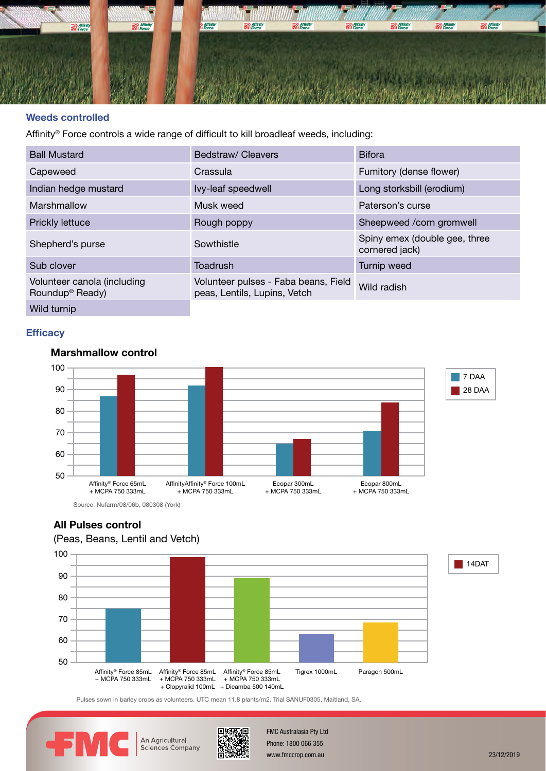

#### **Weeds controlled**

Affinity® Force controls a wide range of difficult to kill broadleaf weeds, including:

| <b>Ball Mustard</b>                                        | Bedstraw/Cleavers                                                    | <b>Bifora</b>                                   |
|------------------------------------------------------------|----------------------------------------------------------------------|-------------------------------------------------|
| Capeweed                                                   | Crassula                                                             | Fumitory (dense flower)                         |
| Indian hedge mustard                                       | Ivy-leaf speedwell                                                   | Long storksbill (erodium)                       |
| Marshmallow                                                | Musk weed                                                            | Paterson's curse                                |
| <b>Prickly lettuce</b>                                     | Rough poppy                                                          | Sheepweed /corn gromwell                        |
| Shepherd's purse                                           | Sowthistle                                                           | Spiny emex (double gee, three<br>cornered jack) |
| Sub clover                                                 | Toadrush                                                             | Turnip weed                                     |
| Volunteer canola (including<br>Roundup <sup>®</sup> Ready) | Volunteer pulses - Faba beans, Field<br>peas, Lentils, Lupins, Vetch | Wild radish                                     |
| Wild turnip                                                |                                                                      |                                                 |

# **Efficacy**

# **Marshmallow control**



#### **All Pulses control**

# (Peas, Beans, Lentil and Vetch)



Pulses sown in barley crops as volunteers. UTC mean 11.8 plants/m2. Trial SANUF0305, Maitland, SA.



60



Affinity Tigrex 1000 company and the second second second second second second second second second second second second second second second second second second second second second second second second second second sec  $\frac{1}{2}$   $\frac{1}{2}$   $\frac{1}{2}$  www.fmccrop.com.au 23/12/2019 FMC Australasia Pty Ltd Phone: 1800 066 355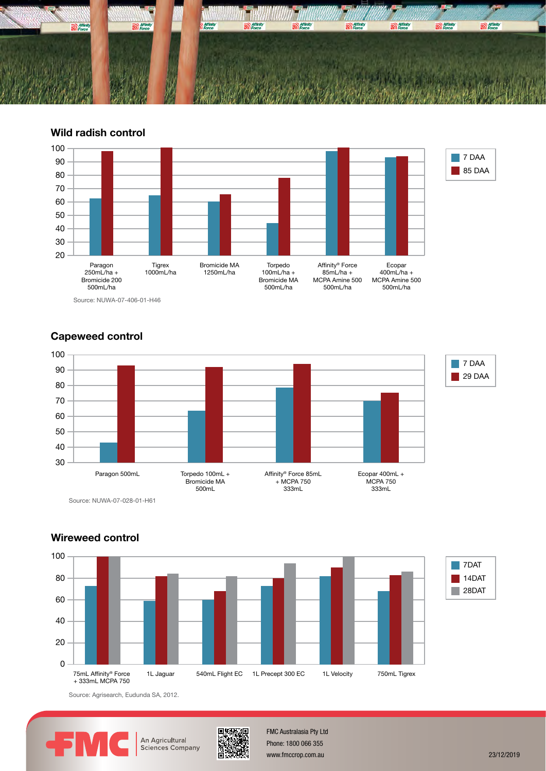

**Wild radish control**



# Capeweed control



Source: NUWA-07-028-01-H61



# **Wireweed control**

Source: Agrisearch, Eudunda SA, 2012.



Sciences Company



 $10$  MeV is the contract of  $\sim$ Phone: 1800 066 355 www.fmccrop.com.au 23/12/2019